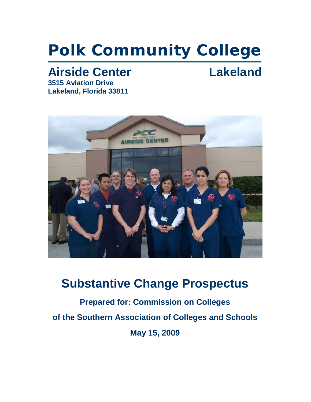# **Polk Community College**

# Airside Center **Lakeland**

**3515 Aviation Drive Lakeland, Florida 33811**



# **Substantive Change Prospectus**

**Prepared for: Commission on Colleges of the Southern Association of Colleges and Schools May 15, 2009**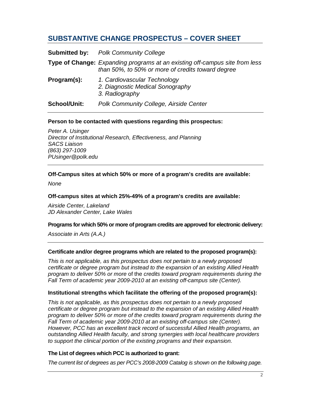## **SUBSTANTIVE CHANGE PROSPECTUS – COVER SHEET**

|                     | <b>Submitted by:</b> Polk Community College                                                                                             |  |
|---------------------|-----------------------------------------------------------------------------------------------------------------------------------------|--|
|                     | <b>Type of Change:</b> Expanding programs at an existing off-campus site from less<br>than 50%, to 50% or more of credits toward degree |  |
| Program(s):         | 1. Cardiovascular Technology<br>2. Diagnostic Medical Sonography<br>3. Radiography                                                      |  |
| <b>School/Unit:</b> | Polk Community College, Airside Center                                                                                                  |  |

#### **Person to be contacted with questions regarding this prospectus:**

*Peter A. Usinger Director of Institutional Research, Effectiveness, and Planning SACS Liaison (863) 297-1009 PUsinger@polk.edu*

#### **Off-Campus sites at which 50% or more of a program's credits are available:**

*None*

#### **Off-campus sites at which 25%-49% of a program's credits are available:**

*Airside Center, Lakeland JD Alexander Center, Lake Wales*

#### **Programs for which 50% or more of program credits are approved for electronic delivery:**

*Associate in Arts (A.A.)*

#### **Certificate and/or degree programs which are related to the proposed program(s):**

*This is not applicable, as this prospectus does not pertain to a newly proposed certificate or degree program but instead to the expansion of an existing Allied Health program to deliver 50% or more* of the *credits toward program requirements during the Fall Term of academic year 2009-2010 at an existing off-campus site (Center).*

#### **Institutional strengths which facilitate the offering of the proposed program(s):**

*This is not applicable, as this prospectus does not pertain to a newly proposed certificate or degree program but instead to the expansion of an existing Allied Health program to deliver 50% or more of the credits toward program requirements during the Fall Term of academic year 2009-2010 at an existing off-campus site (Center). However, PCC has an excellent track record of successful Allied Health programs, an outstanding Allied Health faculty, and strong synergies with local healthcare providers to support the clinical portion of the existing programs and their expansion.*

#### **The List of degrees which PCC is authorized to grant:**

*The current list of degrees as per PCC's 2008-2009 Catalog is shown on the following page.*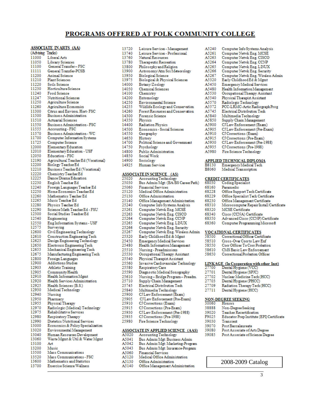#### PROGRAMS OFFERED AT POLK COMMUNITY COLLEGE

#### **ASSOCIATE IN ARTS (AA)**

|           | ASSOCIATE INAINIS (AA)<br>Tracks)    |
|-----------|--------------------------------------|
| (Advising |                                      |
| 11000     | Liberal Arts                         |
| 11050     | Library Sciences                     |
| 11100     | General Transfer-FSC                 |
| 11111     | General Transfer-PCSB                |
| 11200     | Animal Science                       |
| 11210     | <b>Plant Sciences</b>                |
| 11220     | Soils Science                        |
| 11230     | Horticulture Science                 |
| 11240     | Food Science                         |
| 11247     | Nutritional Sciences                 |
| 11250     | Agriculture Science                  |
| 11260     | Agriculture Economics                |
| 11300     | Citrus and Environ. Hort- FSC        |
| 11500     | <b>Business Administration</b>       |
| 11510     | <b>Actuarial Sciences</b>            |
| 11550     | Business Administration - FSC        |
| 11555     | Accounting - FSC                     |
| 11570     | Business Administration - WC         |
| 11700     | Computer Information Systems         |
|           |                                      |
| 11725     | Computer Science                     |
| 12000     | Elementary Education                 |
| 12010     | Elementary Education - USF           |
| 12050     | Education - FSC                      |
| 12190     | Agricultural Teacher Ed (Vocational) |
| 12200     | Biology TeacherEd                    |
| 12210     | Business Teacher Ed (Vocational)     |
| 12220     | Chemistry Teacher Ed                 |
| 12225     | Dance/Drama Education                |
| 12230     | English Teacher Ed                   |
| 12240     | Foreign Languages Teacher Ed         |
| 12250     | Home Economics Teacher Ed            |
| 12260     | Mathematics Teacher Ed               |
| 12265     | Music Teacher Ed                     |
| 12280     | Physics Teacher Ed                   |
| 12290     | Science/Math Teacher Ed - FSU        |
| 12300     | Social Studies Teacher Ed            |
| 12540     | Engineering                          |
| 12550     | Eng Information Systems - USF        |
|           |                                      |
| 12575     | Surveying                            |
| 12600     | Civil Engineering Technology         |
| 12610     | Construction Engineering Tech        |
| 12625     | Design Engineering Technology        |
| 12650     | Electronic Engineering Tech          |
| 12655     | Mechanical Engineering Tech          |
| 12675     | Manufacturing Engineering Tech       |
| 12800     | Foreign Languages                    |
| 12900     | Addictions Studies                   |
| 12903     | <b>Athletic Training</b>             |
| 12905     | Community Health                     |
| 12910     | Health Information Mgmt              |
| 12920     | Health Services Administration       |
| 12925     | Health Sciences (B.S.)               |
| 12930     | Medical Technology                   |
| 12940     | Nursing                              |
| 12950     | Pharmacy                             |
| 12955     | Physical Therapy                     |
| 12970     | Radiologic (Medical) Technology      |
| 12975     | Rehabilitative Services              |
| 12980     | Respiratory Therapy                  |
| 12990     | Dietetics/Nutritional Services       |
| 13000     | Economics & Policy Specialization    |
|           |                                      |
| 13020     | Environmental Management             |
| 13040     | Human Resources Development          |
| 13060     | Waste Mgmt & Util & Water Mgmt       |
| 13100     | Art                                  |
| 13200     | Music                                |
| 13500     | Mass Communications                  |
| 13520     | Mass Communications - FSC            |
| 13600     | Mathematics and Statistics           |
| 13700     | Exercise Science/Wellness            |

| 13720 | Leisure Services - Management      |
|-------|------------------------------------|
| 13740 | Leisure Services - Professional    |
| 13760 | Natural Resources                  |
| 13780 | <b>Therapeutic Recreation</b>      |
| 13800 | Philosophy and Religion            |
| 13900 | Astronomy/Atm Sci/Meteorology      |
| 13950 | <b>Biological Science</b>          |
| 13975 | Biological & Physical Sciences     |
| 14000 | Botany/Zoology                     |
| 14050 | <b>Chemical Sciences</b>           |
| 14100 | Chemistry                          |
| 14200 | Entomology                         |
| 14250 | Environmental Science              |
| 14255 | Wildlife Ecology and Conservation  |
| 14260 | Forest Resources and Conservation  |
| 14300 | <b>Forensic Science</b>            |
| 14350 | Physics                            |
| 14400 | Radiation Physics                  |
| 14500 | <b>Economics - Social Sciences</b> |
| 14550 | Geography                          |
| 14650 | History                            |
| 14700 | Political Science and Government   |
| 14750 | Psychology                         |
| 14800 | Public Administration              |
| 14850 | Social Work                        |
| 14900 | Sociology                          |
| 14925 | <b>Human Services</b>              |

#### **ASSOCIATE IN SCIENCE (AS)**

| 25020                                     | <b>Accounting Technology</b>       |  |
|-------------------------------------------|------------------------------------|--|
| 25030                                     | Bus Admin/Mgt: (BA/BS Career Path) |  |
| 25060                                     | <b>Financial Services</b>          |  |
| 25120                                     | Medical Office Administration      |  |
| 25130                                     | Office Administration              |  |
| 25140                                     | Office Management Administration   |  |
| 25240                                     | Computer Info Systems Analysis     |  |
| 25261                                     | Computer Netwk Eng. MCSE           |  |
| 25263                                     | Computer Netwk Eng. CISCO          |  |
| 25264                                     | Computer Netwk Eng. CCNP           |  |
| 25265                                     | Computer Netwk Eng. LINUX          |  |
| 25266                                     | Computer Netwk Eng. Security       |  |
| 25267                                     | Computer Netwk Eng. Wireless Admin |  |
| 25320                                     | Early Childhood Ed & Mgmt          |  |
| 25450                                     | <b>Emergency Medical Services</b>  |  |
| 25480                                     | Health Information Management      |  |
| 25510                                     | Nursing - Preadmissions            |  |
| 25530                                     | Occupational Therapy Assistant     |  |
| 25540                                     | Physical Therapist Assistant       |  |
| 25560                                     | Invasive Cardiovascular Technology |  |
| 25580                                     | Respiratory Care                   |  |
| 25590                                     | Diagnostic Medical Sonography      |  |
| 25610                                     | Nursing-Bridge Program-Preadm.     |  |
| 25710                                     | Supply Chain Management            |  |
| 25745                                     | Electrical Distribution Tech       |  |
| 25840                                     | Multimedia Technology              |  |
| 25900                                     | CJ Law Enforcement (Exam)          |  |
| 25905                                     | CJ Law Enforcement (Pre-Exam)      |  |
| 25910                                     | CJ Corrections (Exam)              |  |
| 25915                                     | CJ Corrections (Pre-Exam)          |  |
| 25930                                     | CJ Law Enforcement (Pre-1988)      |  |
| 25935                                     | CJ Corrections (Pre-1988)          |  |
| 25980                                     | Fire Science Technology            |  |
| <b>ASSOCIATE IN APPLIED SCIENCE (AAS)</b> |                                    |  |
| A5020                                     | <b>Accounting Technology</b>       |  |
| A5041                                     | Bus Admin/Mgt: Business Admin      |  |
| A5042                                     | Bus Admin/Mgt: Marketing-Program   |  |
| A5043                                     | Bus Admin/Mgt: Insurance-Program   |  |
| A5060                                     | <b>Financial Services</b>          |  |

Medical Office Administration

Office Management Administration

Office Administration

A5120 A5130

A5140

| A5240 | Computer Info Systems Analysis     |
|-------|------------------------------------|
| A5261 | Computer Netwk Eng. MCSE           |
| A5263 | Computer Netwk Eng. CISCO          |
| A5264 | Computer Netwk Eng. CCNP           |
| A5265 | Computer Netwk Eng. LINUX          |
| A5266 | Computer Netwk Eng. Security       |
| A5267 | Computer Netwk Eng. Wireless Admin |
| A5320 | Early Childhood Ed & Mgmt          |
| A5450 | <b>Emergency Medical Services</b>  |
| A5480 | Health Information Management      |
| A5530 | Occupational Therapy Assistant     |
| A5540 | Physical Therapist Assistant       |
| A5570 | Radiologic Technology              |
| A5572 | PCC-LRMC-Artic Radiograph Prog     |
| A5745 | Electrical Distribution Tech       |
| A5840 | Multimedia Technology              |
| A5850 | Supply Chain Management            |
| A5900 | CJ Law Enforcement (Exam)          |
| A5905 | CJ Law Enforcement (Pre-Exam)      |
| A5910 | CJ Corrections (Exam)              |
| A5915 | CJ Corrections (Pre-Exam)          |
| A5930 | CJ Law Enforcement (Pre-1988)      |
| A5935 | CJ Corrections (Pre-1988)          |
| A5980 | Fire Science Technology            |
|       |                                    |

#### **APPLIED TECHNICAL DIPLOMA**

| B8130        | Emergency Medical Tech |
|--------------|------------------------|
| <b>B8060</b> | Medical Transcription  |

#### **CREDIT CERTIFICATES**

| טכטסנ | Coding opecialist                        |
|-------|------------------------------------------|
| 58160 | Paramedic                                |
| 58228 | Office Support Tech Certificate          |
| 58229 | Office Specialist Tech Certificate       |
| 58230 | Office Management Certificate            |
| 58310 | Microcomputer Repair/Install Certificate |
| 58320 | <b>MCSE</b> Certificate                  |
| 58340 | Cisco (CCNA) Certificate                 |
| 58350 | Advanced Cisco (CCNP) Certificate        |

- Computer Programming Microsoft 68360
	-

#### **VOCATIONAL CERTIFICATES**

| 00כ8כ<br>Correctional Officer Certificate |  |
|-------------------------------------------|--|
|-------------------------------------------|--|

- 58510 Cross-Over Corr to Law Enf
- 58550 Corr Officer To Corr Probation
- 58610 CMS Basic Law Enforcement
- 58650 Correctional Probation Officer

# 

- 
- 
- $\frac{27701}{27702}$ Nuclear Medicine Tech (HCC)
- Dental Hygiene (PHCC)
- 27709 Radiation Therapy Tech (HCC)
- 27711 Dental Hygiene (HCC)

# NON-DEGREE SEEKING<br>30060 Honors

- Honors
- 38888 Non-Degree Seeking
- 39020 Teacher Recertification
- F9025 Educator Prep Institute (EPI) Certificate
- 39030 Transient
- 39070 Post Baccalaureate
- 39080 Post Associate of Arts Degree
- 39085 Post Associate of Science Degree

2008-2009 Catalog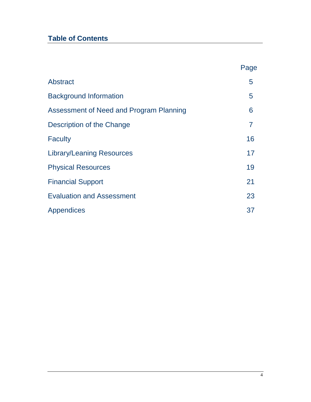# **Table of Contents**

|                                         | Page           |
|-----------------------------------------|----------------|
| Abstract                                | 5              |
| <b>Background Information</b>           | 5              |
| Assessment of Need and Program Planning | 6              |
| Description of the Change               | $\overline{7}$ |
| <b>Faculty</b>                          | 16             |
| <b>Library/Leaning Resources</b>        | 17             |
| <b>Physical Resources</b>               | 19             |
| <b>Financial Support</b>                | 21             |
| <b>Evaluation and Assessment</b>        | 23             |
| Appendices                              | 37             |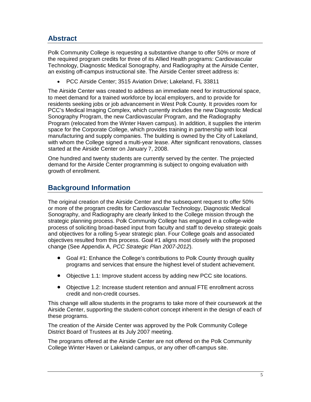# **Abstract**

Polk Community College is requesting a substantive change to offer 50% or more of the required program credits for three of its Allied Health programs: Cardiovascular Technology, Diagnostic Medical Sonography, and Radiography at the Airside Center, an existing off-campus instructional site. The Airside Center street address is:

• PCC Airside Center; 3515 Aviation Drive; Lakeland, FL 33811

The Airside Center was created to address an immediate need for instructional space, to meet demand for a trained workforce by local employers, and to provide for residents seeking jobs or job advancement in West Polk County. It provides room for PCC's Medical Imaging Complex, which currently includes the new Diagnostic Medical Sonography Program, the new Cardiovascular Program, and the Radiography Program (relocated from the Winter Haven campus). In addition, it supplies the interim space for the Corporate College, which provides training in partnership with local manufacturing and supply companies. The building is owned by the City of Lakeland, with whom the College signed a multi-year lease. After significant renovations, classes started at the Airside Center on January 7, 2008.

One hundred and twenty students are currently served by the center. The projected demand for the Airside Center programming is subject to ongoing evaluation with growth of enrollment.

### **Background Information**

The original creation of the Airside Center and the subsequent request to offer 50% or more of the program credits for Cardiovascular Technology, Diagnostic Medical Sonography, and Radiography are clearly linked to the College mission through the strategic planning process. Polk Community College has engaged in a college-wide process of soliciting broad-based input from faculty and staff to develop strategic goals and objectives for a rolling 5-year strategic plan. Four College goals and associated objectives resulted from this process. Goal #1 aligns most closely with the proposed change (See Appendix A, *PCC Strategic Plan 2007-2012*).

- Goal #1: Enhance the College's contributions to Polk County through quality programs and services that ensure the highest level of student achievement.
- Objective 1.1: Improve student access by adding new PCC site locations.
- Objective 1.2: Increase student retention and annual FTE enrollment across credit and non-credit courses.

This change will allow students in the programs to take more of their coursework at the Airside Center, supporting the student-cohort concept inherent in the design of each of these programs.

The creation of the Airside Center was approved by the Polk Community College District Board of Trustees at its July 2007 meeting.

The programs offered at the Airside Center are not offered on the Polk Community College Winter Haven or Lakeland campus, or any other off-campus site.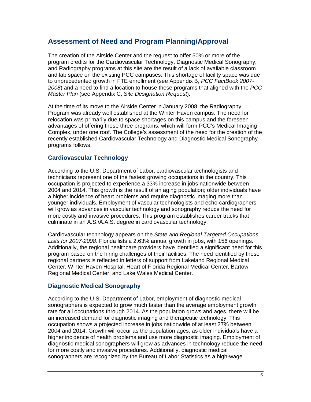## **Assessment of Need and Program Planning/Approval**

The creation of the Airside Center and the request to offer 50% or more of the program credits for the Cardiovascular Technology, Diagnostic Medical Sonography, and Radiography programs at this site are the result of a lack of available classroom and lab space on the existing PCC campuses. This shortage of facility space was due to unprecedented growth in FTE enrollment (see Appendix B, *PCC FactBook 2007- 2008*) and a need to find a location to house these programs that aligned with the *PCC Master Plan* (see Appendix C, *Site Designation Request*).

At the time of its move to the Airside Center in January 2008, the Radiography Program was already well established at the Winter Haven campus. The need for relocation was primarily due to space shortages on this campus and the foreseen advantages of offering these three programs, which will form PCC's Medical Imaging Complex, under one roof. The College's assessment of the need for the creation of the recently established Cardiovascular Technology and Diagnostic Medical Sonography programs follows.

#### **Cardiovascular Technology**

According to the U.S. Department of Labor, cardiovascular technologists and technicians represent one of the fastest growing occupations in the country. This occupation is projected to experience a 33% increase in jobs nationwide between 2004 and 2014. This growth is the result of an aging population; older individuals have a higher incidence of heart problems and require diagnostic imaging more than younger individuals. Employment of vascular technologists and echo-cardiographers will grow as advances in vascular technology and sonography reduce the need for more costly and invasive procedures. This program establishes career tracks that culminate in an A.S./A.A.S. degree in cardiovascular technology.

Cardiovascular technology appears on the *State and Regional Targeted Occupations Lists for 2007-2008*. Florida lists a 2.63% annual growth in jobs, with 156 openings. Additionally, the regional healthcare providers have identified a significant need for this program based on the hiring challenges of their facilities. The need identified by these regional partners is reflected in letters of support from Lakeland Regional Medical Center, Winter Haven Hospital, Heart of Florida Regional Medical Center, Bartow Regional Medical Center, and Lake Wales Medical Center.

#### **Diagnostic Medical Sonography**

According to the U.S. Department of Labor, employment of diagnostic medical sonographers is expected to grow much faster than the average employment growth rate for all occupations through 2014. As the population grows and ages, there will be an increased demand for diagnostic imaging and therapeutic technology. This occupation shows a projected increase in jobs nationwide of at least 27% between 2004 and 2014. Growth will occur as the population ages, as older individuals have a higher incidence of health problems and use more diagnostic imaging. Employment of diagnostic medical sonographers will grow as advances in technology reduce the need for more costly and invasive procedures. Additionally, diagnostic medical sonographers are recognized by the Bureau of Labor Statistics as a high-wage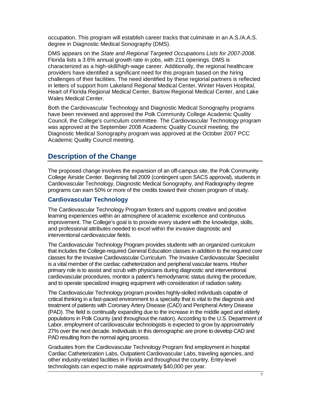occupation. This program will establish career tracks that culminate in an A.S./A.A.S. degree in Diagnostic Medical Sonography (DMS).

DMS appears on the *State and Regional Targeted Occupations Lists for 2007-2008*. Florida lists a 3.6% annual growth rate in jobs, with 211 openings. DMS is characterized as a high-skill/high-wage career. Additionally, the regional healthcare providers have identified a significant need for this program based on the hiring challenges of their facilities. The need identified by these regional partners is reflected in letters of support from Lakeland Regional Medical Center, Winter Haven Hospital, Heart of Florida Regional Medical Center, Bartow Regional Medical Center, and Lake Wales Medical Center.

Both the Cardiovascular Technology and Diagnostic Medical Sonography programs have been reviewed and approved the Polk Community College Academic Quality Council, the College's curriculum committee. The Cardiovascular Technology program was approved at the September 2008 Academic Quality Council meeting; the Diagnostic Medical Sonography program was approved at the October 2007 PCC Academic Quality Council meeting.

#### **Description of the Change**

The proposed change involves the expansion of an off-campus site, the Polk Community College Airside Center. Beginning fall 2009 (contingent upon SACS approval), students in Cardiovascular Technology, Diagnostic Medical Sonography, and Radiography degree programs can earn 50% or more of the credits toward their chosen program of study.

#### **Cardiovascular Technology**

The Cardiovascular Technology Program fosters and supports creative and positive learning experiences within an atmosphere of academic excellence and continuous improvement. The College's goal is to provide every student with the knowledge, skills, and professional attributes needed to excel within the invasive diagnostic and interventional cardiovascular fields.

The Cardiovascular Technology Program provides students with an organized curriculum that includes the College-required General Education classes in addition to the required core classes for the Invasive Cardiovascular Curriculum. The Invasive Cardiovascular Specialist is a vital member of the cardiac catheterization and peripheral vascular teams. His/her primary role is to assist and scrub with physicians during diagnostic and interventional cardiovascular procedures, monitor a patient's hemodynamic status during the procedure, and to operate specialized imaging equipment with consideration of radiation safety.

The Cardiovascular Technology program provides highly-skilled individuals capable of critical thinking in a fast-paced environment to a specialty that is vital to the diagnosis and treatment of patients with Coronary Artery Disease (CAD) and Peripheral Artery Disease (PAD). The field is continually expanding due to the increase in the middle aged and elderly populations in Polk County (and throughout the nation). According to the U.S. Department of Labor, employment of cardiovascular technologists is expected to grow by approximately 27% over the next decade. Individuals in this demographic are prone to develop CAD and PAD resulting from the normal aging process.

Graduates from the Cardiovascular Technology Program find employment in hospital Cardiac Catheterization Labs, Outpatient Cardiovascular Labs, traveling agencies, and other industry-related facilities in Florida and throughout the country. Entry-level technologists can expect to make approximately \$40,000 per year.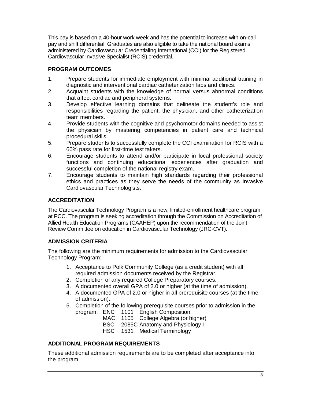This pay is based on a 40-hour work week and has the potential to increase with on-call pay and shift differential. Graduates are also eligible to take the national board exams administered by Cardiovascular Credentialing International (CCI) for the Registered Cardiovascular Invasive Specialist (RCIS) credential.

#### **PROGRAM OUTCOMES**

- 1. Prepare students for immediate employment with minimal additional training in diagnostic and interventional cardiac catheterization labs and clinics.
- 2. Acquaint students with the knowledge of normal versus abnormal conditions that affect cardiac and peripheral systems.
- 3. Develop effective learning domains that delineate the student's role and responsibilities regarding the patient, the physician, and other catheterization team members.
- 4. Provide students with the cognitive and psychomotor domains needed to assist the physician by mastering competencies in patient care and technical procedural skills.
- 5. Prepare students to successfully complete the CCI examination for RCIS with a 60% pass rate for first-time test takers.
- 6. Encourage students to attend and/or participate in local professional society functions and continuing educational experiences after graduation and successful completion of the national registry exam.
- 7. Encourage students to maintain high standards regarding their professional ethics and practices as they serve the needs of the community as Invasive Cardiovascular Technologists.

#### **ACCREDITATION**

The Cardiovascular Technology Program is a new, limited-enrollment healthcare program at PCC. The program is seeking accreditation through the Commission on Accreditation of Allied Health Education Programs (CAAHEP) upon the recommendation of the Joint Review Committee on education in Cardiovascular Technology (JRC-CVT).

#### **ADMISSION CRITERIA**

The following are the minimum requirements for admission to the Cardiovascular Technology Program:

- 1. Acceptance to Polk Community College (as a credit student) with all required admission documents received by the Registrar.
- 2. Completion of any required College Preparatory courses.
- 3. A documented overall GPA of 2.0 or higher (at the time of admission).
- 4. A documented GPA of 2.0 or higher in all prerequisite courses (at the time of admission).
- 5. Completion of the following prerequisite courses prior to admission in the program: ENC 1101 English Composition
	-
	- MAC 1105 College Algebra (or higher)<br>BSC 2085C Anatomy and Physiology I 2085C Anatomy and Physiology I
	- HSC 1531 Medical Terminology

#### **ADDITIONAL PROGRAM REQUIREMENTS**

These additional admission requirements are to be completed after acceptance into the program: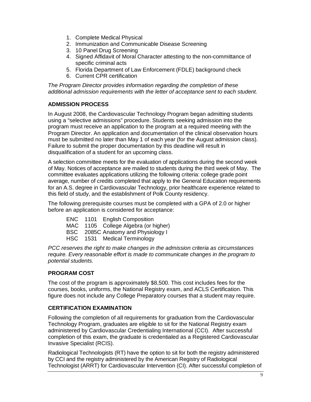- 1. Complete Medical Physical
- 2. Immunization and Communicable Disease Screening
- 3. 10 Panel Drug Screening
- 4. Signed Affidavit of Moral Character attesting to the non-committance of specific criminal acts
- 5. Florida Department of Law Enforcement (FDLE) background check
- 6. Current CPR certification

*The Program Director provides information regarding the completion of these additional admission requirements with the letter of acceptance sent to each student.*

#### **ADMISSION PROCESS**

In August 2008, the Cardiovascular Technology Program began admitting students using a "selective admissions" procedure. Students seeking admission into the program must receive an application to the program at a required meeting with the Program Director. An application and documentation of the clinical observation hours must be submitted no later than May 1 of each year (for the August admission class). Failure to submit the proper documentation by this deadline will result in disqualification of a student for an upcoming class.

A selection committee meets for the evaluation of applications during the second week of May. Notices of acceptance are mailed to students during the third week of May. The committee evaluates applications utilizing the following criteria: college grade point average, number of credits completed that apply to the General Education requirements for an A.S. degree in Cardiovascular Technology, prior healthcare experience related to this field of study, and the establishment of Polk County residency.

The following prerequisite courses must be completed with a GPA of 2.0 or higher before an application is considered for acceptance:

- ENC 1101 English Composition
- MAC 1105 College Algebra (or higher)
- BSC 2085C Anatomy and Physiology I
- HSC 1531 Medical Terminology

*PCC reserves the right to make changes in the admission criteria as circumstances require. Every reasonable effort is made to communicate changes in the program to potential students.*

#### **PROGRAM COST**

The cost of the program is approximately \$8,500. This cost includes fees for the courses, books, uniforms, the National Registry exam, and ACLS Certification. This figure does not include any College Preparatory courses that a student may require.

#### **CERTIFICATION EXAMINATION**

Following the completion of all requirements for graduation from the Cardiovascular Technology Program, graduates are eligible to sit for the National Registry exam administered by Cardiovascular Credentialing International (CCI). After successful completion of this exam, the graduate is credentialed as a Registered Cardiovascular Invasive Specialist (RCIS).

Radiological Technologists (RT) have the option to sit for both the registry administered by CCI and the registry administered by the American Registry of Radiological Technologist (ARRT) for Cardiovascular Intervention (CI). After successful completion of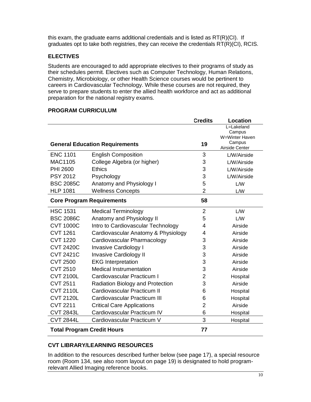this exam, the graduate earns additional credentials and is listed as RT(R)(CI). If graduates opt to take both registries, they can receive the credentials RT(R)(CI), RCIS.

#### **ELECTIVES**

Students are encouraged to add appropriate electives to their programs of study as their schedules permit. Electives such as Computer Technology, Human Relations, Chemistry, Microbiology, or other Health Science courses would be pertinent to careers in Cardiovascular Technology. While these courses are not required, they serve to prepare students to enter the allied health workforce and act as additional preparation for the national registry exams.

#### **PROGRAM CURRICULUM**

|                                   |                                       | <b>Credits</b> | <b>Location</b>                                                    |
|-----------------------------------|---------------------------------------|----------------|--------------------------------------------------------------------|
|                                   | <b>General Education Requirements</b> | 19             | L=Lakeland<br>Campus<br>W=Winter Haven<br>Campus<br>Airside Center |
| <b>ENC 1101</b>                   | <b>English Composition</b>            | 3              | L/W/Airside                                                        |
| <b>MAC1105</b>                    | College Algebra (or higher)           | 3              | L/W/Airside                                                        |
| <b>PHI 2600</b>                   | <b>Ethics</b>                         | 3              | L/W/Airside                                                        |
| <b>PSY 2012</b>                   | Psychology                            | 3              | L/W/Airside                                                        |
| <b>BSC 2085C</b>                  | Anatomy and Physiology I              | 5              | L/W                                                                |
| <b>HLP 1081</b>                   | <b>Wellness Concepts</b>              | $\overline{2}$ | L/W                                                                |
| <b>Core Program Requirements</b>  |                                       | 58             |                                                                    |
| <b>HSC 1531</b>                   | <b>Medical Terminology</b>            | $\overline{2}$ | L/W                                                                |
| <b>BSC 2086C</b>                  | Anatomy and Physiology II             | 5              | L/W                                                                |
| <b>CVT 1000C</b>                  | Intro to Cardiovascular Technology    | 4              | Airside                                                            |
| <b>CVT 1261</b>                   | Cardiovascular Anatomy & Physiology   | 4              | Airside                                                            |
| <b>CVT 1220</b>                   | Cardiovascular Pharmacology           | 3              | Airside                                                            |
| <b>CVT 2420C</b>                  | <b>Invasive Cardiology I</b>          | 3              | Airside                                                            |
| <b>CVT 2421C</b>                  | <b>Invasive Cardiology II</b>         | 3              | Airside                                                            |
| <b>CVT 2500</b>                   | <b>EKG</b> Interpretation             | 3              | Airside                                                            |
| <b>CVT 2510</b>                   | <b>Medical Instrumentation</b>        | 3              | Airside                                                            |
| <b>CVT 2100L</b>                  | Cardiovascular Practicum I            | $\overline{2}$ | Hospital                                                           |
| <b>CVT 2511</b>                   | Radiation Biology and Protection      | 3              | Airside                                                            |
| <b>CVT 2110L</b>                  | Cardiovascular Practicum II           | 6              | Hospital                                                           |
| <b>CVT 2120L</b>                  | Cardiovascular Practicum III          | 6              | Hospital                                                           |
| <b>CVT 2211</b>                   | <b>Critical Care Applications</b>     | $\overline{2}$ | Airside                                                            |
| <b>CVT 2843L</b>                  | Cardiovascular Practicum IV           | 6              | Hospital                                                           |
| <b>CVT 2844L</b>                  | Cardiovascular Practicum V            | 3              | Hospital                                                           |
| <b>Total Program Credit Hours</b> |                                       | 77             |                                                                    |

#### **CVT LIBRARY/LEARNING RESOURCES**

In addition to the resources described further below (see page 17), a special resource room (Room 134, see also room layout on page 19) is designated to hold programrelevant Allied Imaging reference books.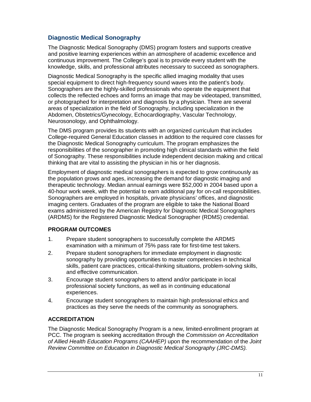#### **Diagnostic Medical Sonography**

The Diagnostic Medical Sonography (DMS) program fosters and supports creative and positive learning experiences within an atmosphere of academic excellence and continuous improvement. The College's goal is to provide every student with the knowledge, skills, and professional attributes necessary to succeed as sonographers.

Diagnostic Medical Sonography is the specific allied imaging modality that uses special equipment to direct high-frequency sound waves into the patient's body. Sonographers are the highly-skilled professionals who operate the equipment that collects the reflected echoes and forms an image that may be videotaped, transmitted, or photographed for interpretation and diagnosis by a physician. There are several areas of specialization in the field of Sonography, including specialization in the Abdomen, Obstetrics/Gynecology, Echocardiography, Vascular Technology, Neurosonology, and Ophthalmology.

The DMS program provides its students with an organized curriculum that includes College-required General Education classes in addition to the required core classes for the Diagnostic Medical Sonography curriculum. The program emphasizes the responsibilities of the sonographer in promoting high clinical standards within the field of Sonography. These responsibilities include independent decision making and critical thinking that are vital to assisting the physician in his or her diagnosis.

Employment of diagnostic medical sonographers is expected to grow continuously as the population grows and ages, increasing the demand for diagnostic imaging and therapeutic technology. Median annual earnings were \$52,000 in 2004 based upon a 40-hour work week, with the potential to earn additional pay for on-call responsibilities. Sonographers are employed in hospitals, private physicians' offices, and diagnostic imaging centers. Graduates of the program are eligible to take the National Board exams administered by the American Registry for Diagnostic Medical Sonographers (ARDMS) for the Registered Diagnostic Medical Sonographer (RDMS) credential.

#### **PROGRAM OUTCOMES**

- 1. Prepare student sonographers to successfully complete the ARDMS examination with a minimum of 75% pass rate for first-time test takers.
- 2. Prepare student sonographers for immediate employment in diagnostic sonography by providing opportunities to master competencies in technical skills, patient care practices, critical-thinking situations, problem-solving skills, and effective communication.
- 3. Encourage student sonographers to attend and/or participate in local professional society functions, as well as in continuing educational experiences.
- 4. Encourage student sonographers to maintain high professional ethics and practices as they serve the needs of the community as sonographers.

#### **ACCREDITATION**

The Diagnostic Medical Sonography Program is a new, limited-enrollment program at PCC. The program is seeking accreditation through the *Commission on Accreditation of Allied Health Education Programs (CAAHEP)* upon the recommendation of the *Joint Review Committee on Education in Diagnostic Medical Sonography (JRC-DMS).*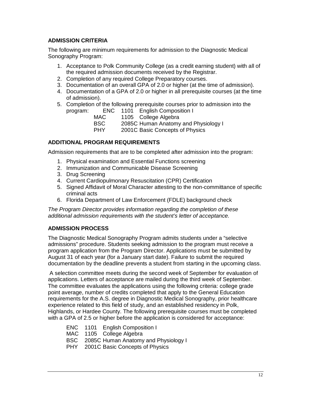#### **ADMISSION CRITERIA**

The following are minimum requirements for admission to the Diagnostic Medical Sonography Program:

- 1. Acceptance to Polk Community College (as a credit earning student) with all of the required admission documents received by the Registrar.
- 2. Completion of any required College Preparatory courses.
- 3. Documentation of an overall GPA of 2.0 or higher (at the time of admission).
- 4. Documentation of a GPA of 2.0 or higher in all prerequisite courses (at the time of admission).
- 5. Completion of the following prerequisite courses prior to admission into the program: ENC 1101 English Composition I
	- MAC 1105 College Algebra BSC 2085C Human Anatomy and Physiology I
	- PHY 2001C Basic Concepts of Physics

#### **ADDITIONAL PROGRAM REQUIREMENTS**

Admission requirements that are to be completed after admission into the program:

- 1. Physical examination and Essential Functions screening
- 2. Immunization and Communicable Disease Screening
- 3. Drug Screening
- 4. Current Cardiopulmonary Resuscitation (CPR) Certification
- 5. Signed Affidavit of Moral Character attesting to the non-committance of specific criminal acts
- 6. Florida Department of Law Enforcement (FDLE) background check

*The Program Director provides information regarding the completion of these additional admission requirements with the student's letter of acceptance.*

#### **ADMISSION PROCESS**

The Diagnostic Medical Sonography Program admits students under a "selective admissions" procedure. Students seeking admission to the program must receive a program application from the Program Director. Applications must be submitted by August 31 of each year (for a January start date). Failure to submit the required documentation by the deadline prevents a student from starting in the upcoming class.

A selection committee meets during the second week of September for evaluation of applications. Letters of acceptance are mailed during the third week of September. The committee evaluates the applications using the following criteria: college grade point average, number of credits completed that apply to the General Education requirements for the A.S. degree in Diagnostic Medical Sonography, prior healthcare experience related to this field of study, and an established residency in Polk, Highlands, or Hardee County. The following prerequisite courses must be completed with a GPA of 2.5 or higher before the application is considered for acceptance:

- ENC 1101 English Composition I
- MAC 1105 College Algebra
- BSC 2085C Human Anatomy and Physiology I
- PHY 2001C Basic Concepts of Physics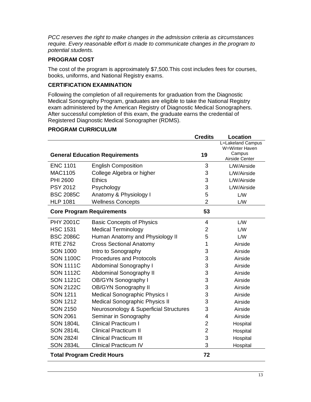*PCC reserves the right to make changes in the admission criteria as circumstances require. Every reasonable effort is made to communicate changes in the program to potential students.*

#### **PROGRAM COST**

The cost of the program is approximately \$7,500.This cost includes fees for courses, books, uniforms, and National Registry exams.

#### **CERTIFICATION EXAMINATION**

Following the completion of all requirements for graduation from the Diagnostic Medical Sonography Program, graduates are eligible to take the National Registry exam administered by the American Registry of Diagnostic Medical Sonographers. After successful completion of this exam, the graduate earns the credential of Registered Diagnostic Medical Sonographer (RDMS).

#### **PROGRAM CURRICULUM**

|                                   |                                        | <b>Credits</b> | <b>Location</b>                     |
|-----------------------------------|----------------------------------------|----------------|-------------------------------------|
|                                   |                                        |                | L=Lakeland Campus<br>W=Winter Haven |
|                                   | <b>General Education Requirements</b>  | 19             | Campus                              |
|                                   |                                        |                | Airside Center                      |
| <b>ENC 1101</b>                   | <b>English Composition</b>             | 3              | L/W/Airside                         |
| <b>MAC1105</b>                    | College Algebra or higher              | 3              | L/W/Airside                         |
| <b>PHI 2600</b>                   | <b>Ethics</b>                          | 3              | L/W/Airside                         |
| <b>PSY 2012</b>                   | Psychology                             | 3              | L/W/Airside                         |
| <b>BSC 2085C</b>                  | Anatomy & Physiology I                 | 5              | L/W                                 |
| <b>HLP 1081</b>                   | <b>Wellness Concepts</b>               | $\overline{2}$ | L/W                                 |
| <b>Core Program Requirements</b>  |                                        | 53             |                                     |
| <b>PHY 2001C</b>                  | <b>Basic Concepts of Physics</b>       | 4              | L/W                                 |
| <b>HSC 1531</b>                   | <b>Medical Terminology</b>             | 2              | L/W                                 |
| <b>BSC 2086C</b>                  | Human Anatomy and Physiology II        | 5              | L/W                                 |
| <b>RTE 2762</b>                   | <b>Cross Sectional Anatomy</b>         | 1              | Airside                             |
| <b>SON 1000</b>                   | Intro to Sonography                    | 3              | Airside                             |
| <b>SON 1100C</b>                  | <b>Procedures and Protocols</b>        | 3              | Airside                             |
| <b>SON 1111C</b>                  | <b>Abdominal Sonography I</b>          | 3              | Airside                             |
| <b>SON 1112C</b>                  | Abdominal Sonography II                | 3              | Airside                             |
| <b>SON 1121C</b>                  | <b>OB/GYN Sonography I</b>             | 3              | Airside                             |
| <b>SON 2122C</b>                  | <b>OB/GYN Sonography II</b>            | 3              | Airside                             |
| <b>SON 1211</b>                   | <b>Medical Sonographic Physics I</b>   | 3              | Airside                             |
| <b>SON 1212</b>                   | <b>Medical Sonographic Physics II</b>  | 3              | Airside                             |
| <b>SON 2150</b>                   | Neurosonology & Superficial Structures | 3              | Airside                             |
| <b>SON 2061</b>                   | Seminar in Sonography                  | 4              | Airside                             |
| <b>SON 1804L</b>                  | <b>Clinical Practicum I</b>            | 2              | Hospital                            |
| <b>SON 2814L</b>                  | <b>Clinical Practicum II</b>           | $\overline{2}$ | Hospital                            |
| <b>SON 28241</b>                  | <b>Clinical Practicum III</b>          | 3              | Hospital                            |
| <b>SON 2834L</b>                  | <b>Clinical Practicum IV</b>           | 3              | Hospital                            |
| <b>Total Program Credit Hours</b> |                                        | 72             |                                     |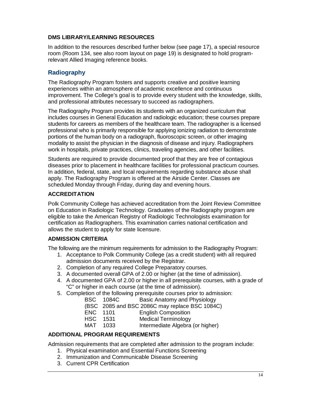#### **DMS LIBRARY/LEARNING RESOURCES**

In addition to the resources described further below (see page 17), a special resource room (Room 134, see also room layout on page 19) is designated to hold programrelevant Allied Imaging reference books.

#### **Radiography**

The Radiography Program fosters and supports creative and positive learning experiences within an atmosphere of academic excellence and continuous improvement. The College's goal is to provide every student with the knowledge, skills, and professional attributes necessary to succeed as radiographers.

The Radiography Program provides its students with an organized curriculum that includes courses in General Education and radiologic education; these courses prepare students for careers as members of the healthcare team. The radiographer is a licensed professional who is primarily responsible for applying ionizing radiation to demonstrate portions of the human body on a radiograph, fluoroscopic screen, or other imaging modality to assist the physician in the diagnosis of disease and injury. Radiographers work in hospitals, private practices, clinics, traveling agencies, and other facilities.

Students are required to provide documented proof that they are free of contagious diseases prior to placement in healthcare facilities for professional practicum courses. In addition, federal, state, and local requirements regarding substance abuse shall apply. The Radiography Program is offered at the Airside Center. Classes are scheduled Monday through Friday, during day and evening hours.

#### **ACCREDITATION**

Polk Community College has achieved accreditation from the Joint Review Committee on Education in Radiologic Technology. Graduates of the Radiography program are eligible to take the American Registry of Radiologic Technologists examination for certification as Radiographers. This examination carries national certification and allows the student to apply for state licensure.

#### **ADMISSION CRITERIA**

The following are the minimum requirements for admission to the Radiography Program:

- 1. Acceptance to Polk Community College (as a credit student) with all required admission documents received by the Registrar.
- 2. Completion of any required College Preparatory courses.
- 3. A documented overall GPA of 2.00 or higher (at the time of admission).
- 4. A documented GPA of 2.00 or higher in all prerequisite courses, with a grade of "C" or higher in each course (at the time of admission).
- 5. Completion of the following prerequisite courses prior to admission:
	- BSC 1084C Basic Anatomy and Physiology

(BSC 2085 and BSC 2086C may replace BSC 1084C)

- ENC 1101 English Composition<br>
HSC 1531 Medical Terminology
- HSC 1531 Medical Terminology<br>MAT 1033 Intermediate Algebra
- Intermediate Algebra (or higher)

#### **ADDITIONAL PROGRAM REQUIREMENTS**

Admission requirements that are completed after admission to the program include:

- 1. Physical examination and Essential Functions Screening
- 2. Immunization and Communicable Disease Screening
- 3. Current CPR Certification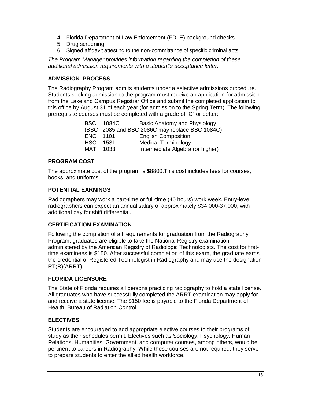- 4. Florida Department of Law Enforcement (FDLE) background checks
- 5. Drug screening
- 6. Signed affidavit attesting to the non-committance of specific criminal acts

*The Program Manager provides information regarding the completion of these additional admission requirements with a student's acceptance letter.*

#### **ADMISSION PROCESS**

The Radiography Program admits students under a selective admissions procedure. Students seeking admission to the program must receive an application for admission from the Lakeland Campus Registrar Office and submit the completed application to this office by August 31 of each year (for admission to the Spring Term). The following prerequisite courses must be completed with a grade of "C" or better:

|          | <b>BSC 1084C</b> | Basic Anatomy and Physiology                   |
|----------|------------------|------------------------------------------------|
|          |                  | (BSC 2085 and BSC 2086C may replace BSC 1084C) |
| ENC 1101 |                  | <b>English Composition</b>                     |
| HSC .    | 1531             | <b>Medical Terminology</b>                     |
| MAT 1033 |                  | Intermediate Algebra (or higher)               |

#### **PROGRAM COST**

The approximate cost of the program is \$8800.This cost includes fees for courses, books, and uniforms.

#### **POTENTIAL EARNINGS**

Radiographers may work a part-time or full-time (40 hours) work week. Entry-level radiographers can expect an annual salary of approximately \$34,000-37,000, with additional pay for shift differential.

#### **CERTIFICATION EXAMINATION**

Following the completion of all requirements for graduation from the Radiography Program, graduates are eligible to take the National Registry examination administered by the American Registry of Radiologic Technologists. The cost for firsttime examinees is \$150. After successful completion of this exam, the graduate earns the credential of Registered Technologist in Radiography and may use the designation RT(R)(ARRT).

#### **FLORIDA LICENSURE**

The State of Florida requires all persons practicing radiography to hold a state license. All graduates who have successfully completed the ARRT examination may apply for and receive a state license. The \$150 fee is payable to the Florida Department of Health, Bureau of Radiation Control.

#### **ELECTIVES**

Students are encouraged to add appropriate elective courses to their programs of study as their schedules permit. Electives such as Sociology, Psychology, Human Relations, Humanities, Government, and computer courses, among others, would be pertinent to careers in Radiography. While these courses are not required, they serve to prepare students to enter the allied health workforce.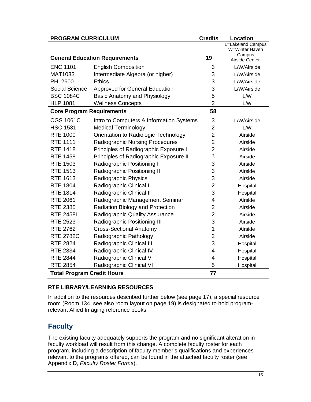| <b>PROGRAM CURRICULUM</b>         |                                          | <b>Credits</b> | <b>Location</b>                     |
|-----------------------------------|------------------------------------------|----------------|-------------------------------------|
|                                   |                                          |                | L=Lakeland Campus<br>W=Winter Haven |
|                                   |                                          |                | Campus                              |
|                                   | <b>General Education Requirements</b>    | 19             | Airside Center                      |
| <b>ENC 1101</b>                   | <b>English Composition</b>               | 3              | L/W/Airside                         |
| MAT1033                           | Intermediate Algebra (or higher)         | 3              | L/W/Airside                         |
| <b>PHI 2600</b>                   | <b>Ethics</b>                            | 3              | L/W/Airside                         |
| <b>Social Science</b>             | <b>Approved for General Education</b>    | 3              | L/W/Airside                         |
| <b>BSC 1084C</b>                  | Basic Anatomy and Physiology             | 5              | L/W                                 |
| <b>HLP 1081</b>                   | <b>Wellness Concepts</b>                 | $\overline{2}$ | L/W                                 |
| <b>Core Program Requirements</b>  |                                          | 58             |                                     |
| <b>CGS 1061C</b>                  | Intro to Computers & Information Systems | 3              | L/W/Airside                         |
| <b>HSC 1531</b>                   | <b>Medical Terminology</b>               | $\overline{2}$ | L/W                                 |
| <b>RTE 1000</b>                   | Orientation to Radiologic Technology     | $\overline{2}$ | Airside                             |
| <b>RTE 1111</b>                   | <b>Radiographic Nursing Procedures</b>   | $\overline{2}$ | Airside                             |
| <b>RTE 1418</b>                   | Principles of Radiographic Exposure I    | $\overline{2}$ | Airside                             |
| <b>RTE 1458</b>                   | Principles of Radiographic Exposure II   | 3              | Airside                             |
| <b>RTE 1503</b>                   | Radiographic Positioning I               | 3              | Airside                             |
| <b>RTE 1513</b>                   | Radiographic Positioning II              | 3              | Airside                             |
| <b>RTE 1613</b>                   | Radiographic Physics                     | 3              | Airside                             |
| <b>RTE 1804</b>                   | Radiographic Clinical I                  | $\overline{2}$ | Hospital                            |
| <b>RTE 1814</b>                   | Radiographic Clinical II                 | 3              | Hospital                            |
| <b>RTE 2061</b>                   | Radiographic Management Seminar          | 4              | Airside                             |
| <b>RTE 2385</b>                   | Radiation Biology and Protection         | $\overline{2}$ | Airside                             |
| <b>RTE 2458L</b>                  | Radiographic Quality Assurance           | $\overline{2}$ | Airside                             |
| <b>RTE 2523</b>                   | Radiographic Positioning III             | 3              | Airside                             |
| <b>RTE 2762</b>                   | <b>Cross-Sectional Anatomy</b>           | 1              | Airside                             |
| <b>RTE 2782C</b>                  | Radiographic Pathology                   | $\overline{2}$ | Airside                             |
| <b>RTE 2824</b>                   | Radiographic Clinical III                | 3              | Hospital                            |
| <b>RTE 2834</b>                   | Radiographic Clinical IV                 | 4              | Hospital                            |
| <b>RTE 2844</b>                   | Radiographic Clinical V                  | 4              | Hospital                            |
| <b>RTE 2854</b>                   | Radiographic Clinical VI                 | 5              | Hospital                            |
| <b>Total Program Credit Hours</b> |                                          | 77             |                                     |

#### **RTE LIBRARY/LEARNING RESOURCES**

In addition to the resources described further below (see page 17), a special resource room (Room 134, see also room layout on page 19) is designated to hold programrelevant Allied Imaging reference books.

### **Faculty**

The existing faculty adequately supports the program and no significant alteration in faculty workload will result from this change. A complete faculty roster for each program, including a description of faculty member's qualifications and experiences relevant to the programs offered, can be found in the attached faculty roster (see Appendix D, *Faculty Roster Forms*).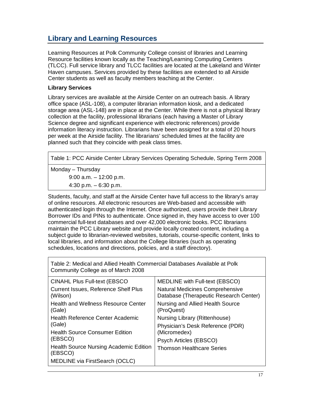# **Library and Learning Resources**

Learning Resources at Polk Community College consist of libraries and Learning Resource facilities known locally as the Teaching/Learning Computing Centers (TLCC). Full service library and TLCC facilities are located at the Lakeland and Winter Haven campuses. Services provided by these facilities are extended to all Airside Center students as well as faculty members teaching at the Center.

#### **Library Services**

Library services are available at the Airside Center on an outreach basis. A library office space (ASL-108), a computer librarian information kiosk, and a dedicated storage area (ASL-148) are in place at the Center. While there is not a physical library collection at the facility, professional librarians (each having a Master of Library Science degree and significant experience with electronic references) provide information literacy instruction. Librarians have been assigned for a total of 20 hours per week at the Airside facility. The librarians' scheduled times at the facility are planned such that they coincide with peak class times.

Table 1: PCC Airside Center Library Services Operating Schedule, Spring Term 2008

Monday – Thursday

9:00 a.m. – 12:00 p.m. 4:30 p.m. – 6:30 p.m.

Students, faculty, and staff at the Airside Center have full access to the library's array of online resources. All electronic resources are Web-based and accessible with authenticated login through the Internet. Once authorized, users provide their Library Borrower IDs and PINs to authenticate. Once signed in, they have access to over 100 commercial full-text databases and over 42,000 electronic books. PCC librarians maintain the PCC Library website and provide locally created content, including a subject guide to librarian-reviewed websites, tutorials, course-specific content, links to local libraries, and information about the College libraries (such as operating schedules, locations and directions, policies, and a staff directory).

Table 2: Medical and Allied Health Commercial Databases Available at Polk Community College as of March 2008

| <b>CINAHL Plus Full-text (EBSCO)</b>                     | MEDLINE with Full-text (EBSCO)                                                   |
|----------------------------------------------------------|----------------------------------------------------------------------------------|
| <b>Current Issues, Reference Shelf Plus</b><br>(Wilson)  | <b>Natural Medicines Comprehensive</b><br>Database (Therapeutic Research Center) |
| <b>Health and Wellness Resource Center</b><br>(Gale)     | Nursing and Allied Health Source<br>(ProQuest)                                   |
| Health Reference Center Academic                         | Nursing Library (Rittenhouse)                                                    |
| (Gale)                                                   | Physician's Desk Reference (PDR)                                                 |
| <b>Health Source Consumer Edition</b>                    | (Micromedex)                                                                     |
| (EBSCO)                                                  | Psych Articles (EBSCO)                                                           |
| <b>Health Source Nursing Academic Edition</b><br>(EBSCO) | <b>Thomson Healthcare Series</b>                                                 |
| MEDLINE via FirstSearch (OCLC)                           |                                                                                  |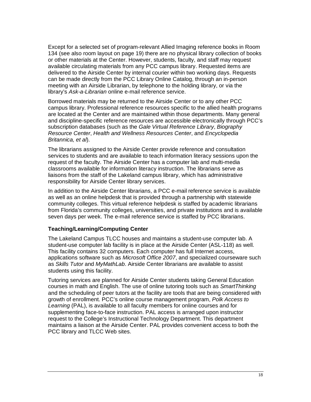Except for a selected set of program-relevant Allied Imaging reference books in Room 134 (see also room layout on page 19) there are no physical library collection of books or other materials at the Center. However, students, faculty, and staff may request available circulating materials from any PCC campus library. Requested items are delivered to the Airside Center by internal courier within two working days. Requests can be made directly from the PCC Library Online Catalog, through an in-person meeting with an Airside Librarian, by telephone to the holding library, or via the library's *Ask-a-Librarian* online e-mail reference service.

Borrowed materials may be returned to the Airside Center or to any other PCC campus library. Professional reference resources specific to the allied health programs are located at the Center and are maintained within those departments. Many general and discipline-specific reference resources are accessible electronically through PCC's subscription databases (such as the *Gale Virtual Reference Library*, *Biography Resource Center*, *Health and Wellness Resources Center*, and *Encyclopedia Britannica, et al*).

The librarians assigned to the Airside Center provide reference and consultation services to students and are available to teach information literacy sessions upon the request of the faculty. The Airside Center has a computer lab and multi-media classrooms available for information literacy instruction. The librarians serve as liaisons from the staff of the Lakeland campus library, which has administrative responsibility for Airside Center library services.

In addition to the Airside Center librarians, a PCC e-mail reference service is available as well as an online helpdesk that is provided through a partnership with statewide community colleges. This virtual reference helpdesk is staffed by academic librarians from Florida's community colleges, universities, and private institutions and is available seven days per week. The e-mail reference service is staffed by PCC librarians.

#### **Teaching/Learning/Computing Center**

The Lakeland Campus TLCC houses and maintains a student-use computer lab. A student-use computer lab facility is in place at the Airside Center (ASL-118) as well. This facility contains 32 computers. Each computer has full Internet access, applications software such as *Microsoft Office 2007*, and specialized courseware such as *Skills Tutor* and *MyMathLab*. Airside Center librarians are available to assist students using this facility.

Tutoring services are planned for Airside Center students taking General Education courses in math and English. The use of online tutoring tools such as *SmartThinking*  and the scheduling of peer tutors at the facility are tools that are being considered with growth of enrollment. PCC's online course management program, *Polk Access to Learning* (PAL), is available to all faculty members for online courses and for supplementing face-to-face instruction. PAL access is arranged upon instructor request to the College's Instructional Technology Department. This department maintains a liaison at the Airside Center. PAL provides convenient access to both the PCC library and TLCC Web sites.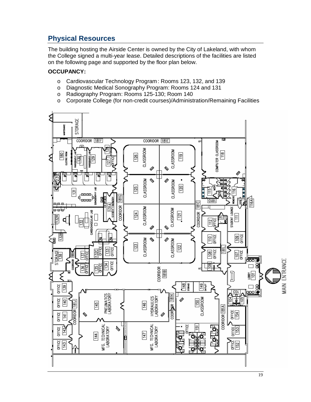# **Physical Resources**

The building hosting the Airside Center is owned by the City of Lakeland, with whom the College signed a multi-year lease. Detailed descriptions of the facilities are listed on the following page and supported by the floor plan below.

#### **OCCUPANCY:**

- o Cardiovascular Technology Program: Rooms 123, 132, and 139<br>
o Diagnostic Medical Sonography Program: Rooms 124 and 131
- o Diagnostic Medical Sonography Program: Rooms 124 and 131 o Radiography Program: Rooms 125-130: Room 140
- o Radiography Program: Rooms 125-130; Room 140<br>
o Corporate College (for non-credit courses)/Administ
- o Corporate College (for non-credit courses)/Administration/Remaining Facilities

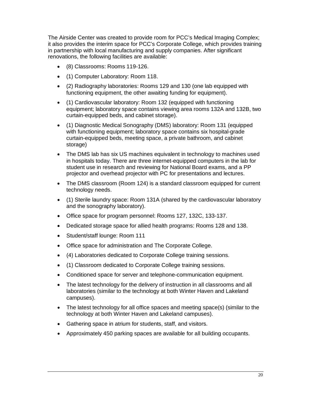The Airside Center was created to provide room for PCC's Medical Imaging Complex; it also provides the interim space for PCC's Corporate College, which provides training in partnership with local manufacturing and supply companies. After significant renovations, the following facilities are available:

- (8) Classrooms: Rooms 119-126.
- (1) Computer Laboratory: Room 118.
- (2) Radiography laboratories: Rooms 129 and 130 (one lab equipped with functioning equipment, the other awaiting funding for equipment).
- (1) Cardiovascular laboratory: Room 132 (equipped with functioning equipment; laboratory space contains viewing area rooms 132A and 132B, two curtain-equipped beds, and cabinet storage).
- (1) Diagnostic Medical Sonography (DMS) laboratory: Room 131 (equipped with functioning equipment; laboratory space contains six hospital-grade curtain-equipped beds, meeting space, a private bathroom, and cabinet storage)
- The DMS lab has six US machines equivalent in technology to machines used in hospitals today. There are three internet-equipped computers in the lab for student use in research and reviewing for National Board exams, and a PP projector and overhead projector with PC for presentations and lectures.
- The DMS classroom (Room 124) is a standard classroom equipped for current technology needs.
- (1) Sterile laundry space: Room 131A (shared by the cardiovascular laboratory and the sonography laboratory).
- Office space for program personnel: Rooms 127, 132C, 133-137.
- Dedicated storage space for allied health programs: Rooms 128 and 138.
- Student/staff lounge: Room 111
- Office space for administration and The Corporate College.
- (4) Laboratories dedicated to Corporate College training sessions.
- (1) Classroom dedicated to Corporate College training sessions.
- Conditioned space for server and telephone-communication equipment.
- The latest technology for the delivery of instruction in all classrooms and all laboratories (similar to the technology at both Winter Haven and Lakeland campuses).
- The latest technology for all office spaces and meeting space(s) (similar to the technology at both Winter Haven and Lakeland campuses).
- Gathering space in atrium for students, staff, and visitors.
- Approximately 450 parking spaces are available for all building occupants.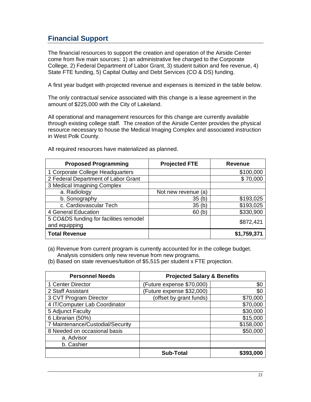# **Financial Support**

The financial resources to support the creation and operation of the Airside Center come from five main sources: 1) an administrative fee charged to the Corporate College, 2) Federal Department of Labor Grant, 3) student tuition and fee revenue, 4) State FTE funding, 5) Capital Outlay and Debt Services (CO & DS) funding.

A first year budget with projected revenue and expenses is itemized in the table below.

The only contractual service associated with this change is a lease agreement in the amount of \$225,000 with the City of Lakeland.

All operational and management resources for this change are currently available through existing college staff. The creation of the Airside Center provides the physical resource necessary to house the Medical Imaging Complex and associated instruction in West Polk County.

| <b>Proposed Programming</b>            | <b>Projected FTE</b> | <b>Revenue</b> |
|----------------------------------------|----------------------|----------------|
| 1 Corporate College Headquarters       |                      | \$100,000      |
| 2 Federal Department of Labor Grant    |                      | \$70,000       |
| 3 Medical Imagining Complex            |                      |                |
| a. Radiology                           | Not new revenue (a)  |                |
| b. Sonography                          | 35(h)                | \$193,025      |
| c. Cardiovascular Tech                 | 35(h)                | \$193,025      |
| 4 General Education                    | 60 <sub>(b)</sub>    | \$330,900      |
| 5 CO&DS funding for facilities remodel |                      | \$872,421      |
| and equipping                          |                      |                |
| <b>Total Revenue</b>                   |                      | \$1,759,371    |

All required resources have materialized as planned.

(a) Revenue from current program is currently accounted for in the college budget. Analysis considers only new revenue from new programs.

(b) Based on state revenues/tuition of \$5,515 per student x FTE projection.

| <b>Personnel Needs</b>           | <b>Projected Salary &amp; Benefits</b> |           |  |  |
|----------------------------------|----------------------------------------|-----------|--|--|
| 1 Center Director                | (Future expense \$70,000)              | \$0       |  |  |
| 2 Staff Assistant                | (Future expense \$32,000)              | \$0       |  |  |
| 3 CVT Program Director           | (offset by grant funds)                | \$70,000  |  |  |
| 4 IT/Computer Lab Coordinator    |                                        | \$70,000  |  |  |
| 5 Adjunct Faculty                |                                        | \$30,000  |  |  |
| 6 Librarian (50%)                |                                        | \$15,000  |  |  |
| 7 Maintenance/Custodial/Security |                                        | \$158,000 |  |  |
| 8 Needed on occasional basis     |                                        | \$50,000  |  |  |
| a. Advisor                       |                                        |           |  |  |
| b. Cashier                       |                                        |           |  |  |
|                                  | <b>Sub-Total</b>                       | \$393,000 |  |  |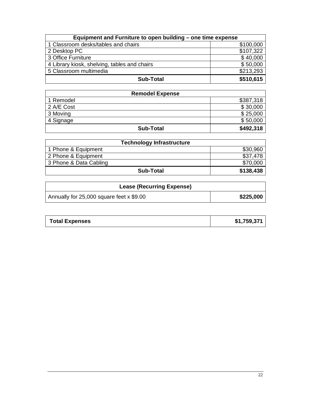| Equipment and Furniture to open building – one time expense |           |  |  |  |
|-------------------------------------------------------------|-----------|--|--|--|
| 1 Classroom desks/tables and chairs                         | \$100,000 |  |  |  |
| 2 Desktop PC                                                | \$107,322 |  |  |  |
| 3 Office Furniture                                          | \$40,000  |  |  |  |
| 4 Library kiosk, shelving, tables and chairs                | \$50,000  |  |  |  |
| 5 Classroom multimedia                                      | \$213,293 |  |  |  |
| <b>Sub-Total</b>                                            | \$510,615 |  |  |  |

| <b>Remodel Expense</b> |           |  |  |  |
|------------------------|-----------|--|--|--|
| 1 Remodel              | \$387,318 |  |  |  |
| 2 A/E Cost             | \$30,000  |  |  |  |
| 3 Moving               | \$25,000  |  |  |  |
| 4 Signage              | \$50,000  |  |  |  |
| <b>Sub-Total</b>       | \$492,318 |  |  |  |

| <b>Technology Infrastructure</b> |           |  |  |
|----------------------------------|-----------|--|--|
| 1 Phone & Equipment              | \$30,960  |  |  |
| 2 Phone & Equipment              | \$37.478  |  |  |
| 3 Phone & Data Cabling           | \$70,000  |  |  |
| Sub-Total                        | \$138,438 |  |  |

| <b>Lease (Recurring Expense)</b>         |           |
|------------------------------------------|-----------|
| Annually for 25,000 square feet x \$9.00 | \$225,000 |

| <b>Total Expenses</b> | \$1,759,371 |
|-----------------------|-------------|
|-----------------------|-------------|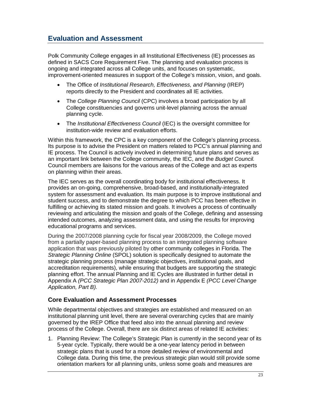# **Evaluation and Assessment**

Polk Community College engages in all Institutional Effectiveness (IE) processes as defined in SACS Core Requirement Five. The planning and evaluation process is ongoing and integrated across all College units, and focuses on systematic, improvement-oriented measures in support of the College's mission, vision, and goals.

- The Office of *Institutional Research, Effectiveness, and Planning* (IREP) reports directly to the President and coordinates all IE activities.
- The *College Planning Council* (CPC) involves a broad participation by all College constituencies and governs unit-level planning across the annual planning cycle.
- The *Institutional Effectiveness Council* (IEC) is the oversight committee for institution-wide review and evaluation efforts.

Within this framework, the CPC is a key component of the College's planning process. Its purpose is to advise the President on matters related to PCC's annual planning and IE process. The Council is actively involved in determining future plans and serves as an important link between the College community, the IEC, and the *Budget Council.* Council members are liaisons for the various areas of the College and act as experts on planning within their areas.

The IEC serves as the overall coordinating body for institutional effectiveness. It provides an on-going, comprehensive, broad-based, and institutionally-integrated system for assessment and evaluation. Its main purpose is to improve institutional and student success, and to demonstrate the degree to which PCC has been effective in fulfilling or achieving its stated mission and goals. It involves a process of continually reviewing and articulating the mission and goals of the College, defining and assessing intended outcomes, analyzing assessment data, and using the results for improving educational programs and services.

During the 2007/2008 planning cycle for fiscal year 2008/2009, the College moved from a partially paper-based planning process to an integrated planning software application that was previously piloted by other community colleges in Florida. The *Strategic Planning Online* (SPOL) solution is specifically designed to automate the strategic planning process (manage strategic objectives, institutional goals, and accreditation requirements), while ensuring that budgets are supporting the strategic planning effort. The annual Planning and IE Cycles are illustrated in further detail in Appendix A *(PCC Strategic Plan 2007-2012)* and in Appendix E *(PCC Level Change Application, Part B).*

#### **Core Evaluation and Assessment Processes**

While departmental objectives and strategies are established and measured on an institutional planning unit level, there are several overarching cycles that are mainly governed by the IREP Office that feed also into the annual planning and review process of the College. Overall, there are six distinct areas of related IE activities:

1. Planning Review: The College's Strategic Plan is currently in the second year of its 5-year cycle. Typically, there would be a one-year latency period in between strategic plans that is used for a more detailed review of environmental and College data. During this time, the previous strategic plan would still provide some orientation markers for all planning units, unless some goals and measures are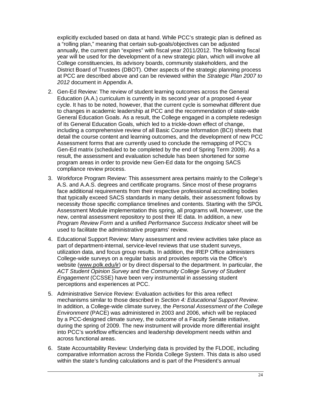explicitly excluded based on data at hand. While PCC's strategic plan is defined as a "rolling plan," meaning that certain sub-goals/objectives can be adjusted annually, the current plan "expires" with fiscal year 2011/2012. The following fiscal year will be used for the development of a new strategic plan, which will involve all College constituencies, its advisory boards, community stakeholders, and the District Board of Trustees (DBOT). Other aspects of the strategic planning process at PCC are described above and can be reviewed within the *Strategic Plan 2007 to 2012* document in Appendix A.

- 2. Gen-Ed Review: The review of student learning outcomes across the General Education (A.A.) curriculum is currently in its second year of a proposed 4-year cycle. It has to be noted, however, that the current cycle is somewhat different due to changes in academic leadership at PCC and the recommendation of state-wide General Education Goals. As a result, the College engaged in a complete redesign of its General Education Goals, which led to a trickle-down effect of change, including a comprehensive review of all Basic Course Information (BCI) sheets that detail the course content and learning outcomes, and the development of new PCC Assessment forms that are currently used to conclude the remapping of PCC's Gen-Ed matrix (scheduled to be completed by the end of Spring Term 2009). As a result, the assessment and evaluation schedule has been shortened for some program areas in order to provide new Gen-Ed data for the ongoing SACS compliance review process.
- 3. Workforce Program Review: This assessment area pertains mainly to the College's A.S. and A.A.S. degrees and certificate programs. Since most of these programs face additional requirements from their respective professional accrediting bodies that typically exceed SACS standards in many details, their assessment follows by necessity those specific compliance timelines and contents. Starting with the SPOL Assessment Module implementation this spring, all programs will, however, use the new, central assessment repository to post their IE data. In addition, a new *Program Review Form* and a unified *Performance Success Indicator* sheet will be used to facilitate the administrative programs' review.
- 4. Educational Support Review: Many assessment and review activities take place as part of department-internal, service-level reviews that use student surveys, utilization data, and focus group results. In addition, the IREP Office administers College-wide surveys on a regular basis and provides reports via the Office's website [\(www.polk.edu/ir\)](http://www.polk.edu/ir) or by direct dispersal to the department. In particular, the *ACT Student Opinion Survey* and the *Community College Survey of Student Engagement* (CCSSE) have been very instrumental in assessing student perceptions and experiences at PCC.
- 5. Administrative Service Review: Evaluation activities for this area reflect mechanisms similar to those described in *Section 4: Educational Support Review*. In addition, a College-wide climate survey, the *Personal Assessment of the College Environment* (PACE) was administered in 2003 and 2006, which will be replaced by a PCC-designed climate survey, the outcome of a Faculty Senate initiative, during the spring of 2009. The new instrument will provide more differential insight into PCC's workflow efficiencies and leadership development needs within and across functional areas.
- 6. State Accountability Review: Underlying data is provided by the FLDOE, including comparative information across the Florida College System. This data is also used within the state's funding calculations and is part of the President's annual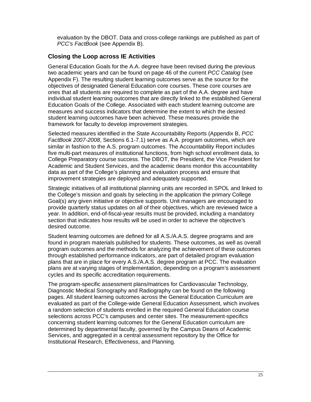evaluation by the DBOT. Data and cross-college rankings are published as part of *PCC's FactBook* (see Appendix B).

#### **Closing the Loop across IE Activities**

General Education Goals for the A.A. degree have been revised during the previous two academic years and can be found on page 46 of the current *PCC Catalog* (see Appendix F). The resulting student learning outcomes serve as the source for the objectives of designated General Education core courses. These core courses are ones that all students are required to complete as part of the A.A. degree and have individual student learning outcomes that are directly linked to the established General Education Goals of the College. Associated with each student learning outcome are measures and success indicators that determine the extent to which the desired student learning outcomes have been achieved. These measures provide the framework for faculty to develop improvement strategies.

Selected measures identified in the State Accountability Reports (Appendix B, *PCC FactBook 2007-2008*, Sections 6.1-7.1) serve as A.A. program outcomes, which are similar in fashion to the A.S. program outcomes. The Accountability Report includes five multi-part measures of institutional functions, from high school enrollment data, to College Preparatory course success. The DBOT, the President, the Vice President for Academic and Student Services, and the academic deans monitor this accountability data as part of the College's planning and evaluation process and ensure that improvement strategies are deployed and adequately supported.

Strategic initiatives of all institutional planning units are recorded in SPOL and linked to the College's mission and goals by selecting in the application the primary College Goal(s) any given initiative or objective supports. Unit managers are encouraged to provide quarterly status updates on all of their objectives, which are reviewed twice a year. In addition, end-of-fiscal-year results must be provided, including a mandatory section that indicates how results will be used in order to achieve the objective's desired outcome.

Student learning outcomes are defined for all A.S./A.A.S. degree programs and are found in program materials published for students. These outcomes, as well as overall program outcomes and the methods for analyzing the achievement of these outcomes through established performance indicators, are part of detailed program evaluation plans that are in place for every A.S./A.A.S. degree program at PCC. The evaluation plans are at varying stages of implementation, depending on a program's assessment cycles and its specific accreditation requirements.

The program-specific assessment plans/matrices for Cardiovascular Technology, Diagnostic Medical Sonography and Radiography can be found on the following pages. All student learning outcomes across the General Education Curriculum are evaluated as part of the College-wide General Education Assessment, which involves a random selection of students enrolled in the required General Education course selections across PCC's campuses and center sites. The measurement-specifics concerning student learning outcomes for the General Education curriculum are determined by departmental faculty, governed by the Campus Deans of Academic Services, and aggregated in a central assessment repository by the Office for Institutional Research, Effectiveness, and Planning.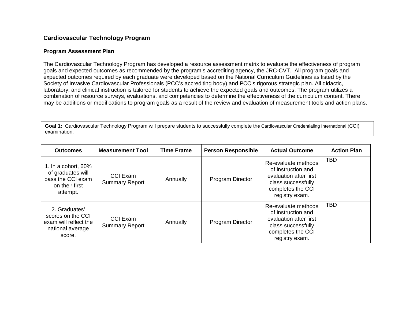#### **Cardiovascular Technology Program**

#### **Program Assessment Plan**

The Cardiovascular Technology Program has developed a resource assessment matrix to evaluate the effectiveness of program goals and expected outcomes as recommended by the program's accrediting agency, the JRC-CVT. All program goals and expected outcomes required by each graduate were developed based on the National Curriculum Guidelines as listed by the Society of Invasive Cardiovascular Professionals (PCC's accrediting body) and PCC's rigorous strategic plan. All didactic, laboratory, and clinical instruction is tailored for students to achieve the expected goals and outcomes. The program utilizes a combination of resource surveys, evaluations, and competencies to determine the effectiveness of the curriculum content. There may be additions or modifications to program goals as a result of the review and evaluation of measurement tools and action plans.

**Goal 1:** Cardiovascular Technology Program will prepare students to successfully complete th**e** Cardiovascular Credentialing International (CCI) examination.

| <b>Outcomes</b>                                                                                | <b>Measurement Tool</b>                  | <b>Time Frame</b> | <b>Person Responsible</b> | <b>Actual Outcome</b>                                                                                                            | <b>Action Plan</b> |
|------------------------------------------------------------------------------------------------|------------------------------------------|-------------------|---------------------------|----------------------------------------------------------------------------------------------------------------------------------|--------------------|
| 1. In a cohort, $60\%$<br>of graduates will<br>pass the CCI exam<br>on their first<br>attempt. | <b>CCI Exam</b><br><b>Summary Report</b> | Annually          | <b>Program Director</b>   | Re-evaluate methods<br>of instruction and<br>evaluation after first<br>class successfully<br>completes the CCI<br>registry exam. | <b>TBD</b>         |
| 2. Graduates'<br>scores on the CCI<br>exam will reflect the<br>national average<br>score.      | CCI Exam<br><b>Summary Report</b>        | Annually          | Program Director          | Re-evaluate methods<br>of instruction and<br>evaluation after first<br>class successfully<br>completes the CCI<br>registry exam. | <b>TBD</b>         |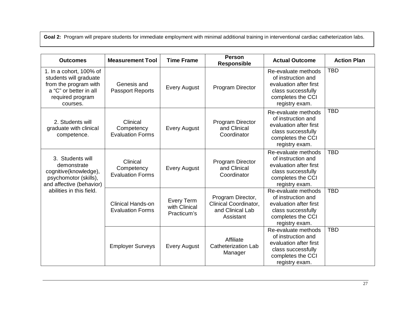Goal 2: Program will prepare students for immediate employment with minimal additional training in interventional cardiac catheterization labs.

| <b>Outcomes</b>                                                                                                                           | <b>Measurement Tool</b>                             | <b>Time Frame</b>                                 | <b>Person</b><br><b>Responsible</b>                                         | <b>Actual Outcome</b>                                                                                                            | <b>Action Plan</b> |
|-------------------------------------------------------------------------------------------------------------------------------------------|-----------------------------------------------------|---------------------------------------------------|-----------------------------------------------------------------------------|----------------------------------------------------------------------------------------------------------------------------------|--------------------|
| 1. In a cohort, 100% of<br>students will graduate<br>from the program with<br>a "C" or better in all<br>required program<br>courses.      | Genesis and<br><b>Passport Reports</b>              | <b>Every August</b>                               | Program Director                                                            | Re-evaluate methods<br>of instruction and<br>evaluation after first<br>class successfully<br>completes the CCI<br>registry exam. | <b>TBD</b>         |
| 2. Students will<br>graduate with clinical<br>competence.                                                                                 | Clinical<br>Competency<br><b>Evaluation Forms</b>   | <b>Every August</b>                               | Program Director<br>and Clinical<br>Coordinator                             | Re-evaluate methods<br>of instruction and<br>evaluation after first<br>class successfully<br>completes the CCI<br>registry exam. | <b>TBD</b>         |
| 3. Students will<br>demonstrate<br>cognitive(knowledge),<br>psychomotor (skills),<br>and affective (behavior)<br>abilities in this field. | Clinical<br>Competency<br><b>Evaluation Forms</b>   | <b>Every August</b>                               | Program Director<br>and Clinical<br>Coordinator                             | Re-evaluate methods<br>of instruction and<br>evaluation after first<br>class successfully<br>completes the CCI<br>registry exam. | <b>TBD</b>         |
|                                                                                                                                           | <b>Clinical Hands-on</b><br><b>Evaluation Forms</b> | <b>Every Term</b><br>with Clinical<br>Practicum's | Program Director,<br>Clinical Coordinator,<br>and Clinical Lab<br>Assistant | Re-evaluate methods<br>of instruction and<br>evaluation after first<br>class successfully<br>completes the CCI<br>registry exam. | <b>TBD</b>         |
|                                                                                                                                           | <b>Employer Surveys</b>                             | <b>Every August</b>                               | Affiliate<br><b>Catheterization Lab</b><br>Manager                          | Re-evaluate methods<br>of instruction and<br>evaluation after first<br>class successfully<br>completes the CCI<br>registry exam. | <b>TBD</b>         |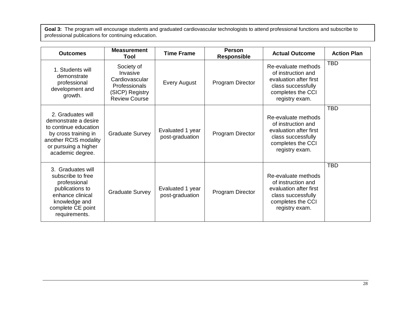**Goal 3:** The program will encourage students and graduated cardiovascular technologists to attend professional functions and subscribe to professional publications for continuing education.

| <b>Outcomes</b>                                                                                                                                                 | <b>Measurement</b><br><b>Tool</b>                                                                    | <b>Time Frame</b>                   | <b>Person</b><br><b>Responsible</b> | <b>Actual Outcome</b>                                                                                                            | <b>Action Plan</b> |
|-----------------------------------------------------------------------------------------------------------------------------------------------------------------|------------------------------------------------------------------------------------------------------|-------------------------------------|-------------------------------------|----------------------------------------------------------------------------------------------------------------------------------|--------------------|
| 1. Students will<br>demonstrate<br>professional<br>development and<br>growth.                                                                                   | Society of<br>Invasive<br>Cardiovascular<br>Professionals<br>(SICP) Registry<br><b>Review Course</b> | <b>Every August</b>                 | Program Director                    | Re-evaluate methods<br>of instruction and<br>evaluation after first<br>class successfully<br>completes the CCI<br>registry exam. | <b>TBD</b>         |
| 2. Graduates will<br>demonstrate a desire<br>to continue education<br>by cross training in<br>another RCIS modality<br>or pursuing a higher<br>academic degree. | <b>Graduate Survey</b>                                                                               | Evaluated 1 year<br>post-graduation | Program Director                    | Re-evaluate methods<br>of instruction and<br>evaluation after first<br>class successfully<br>completes the CCI<br>registry exam. | <b>TBD</b>         |
| 3. Graduates will<br>subscribe to free<br>professional<br>publications to<br>enhance clinical<br>knowledge and<br>complete CE point<br>requirements.            | <b>Graduate Survey</b>                                                                               | Evaluated 1 year<br>post-graduation | Program Director                    | Re-evaluate methods<br>of instruction and<br>evaluation after first<br>class successfully<br>completes the CCI<br>registry exam. | <b>TBD</b>         |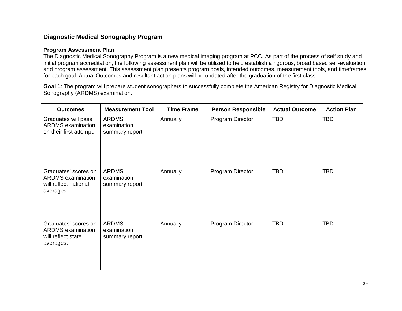#### **Diagnostic Medical Sonography Program**

#### **Program Assessment Plan**

The Diagnostic Medical Sonography Program is a new medical imaging program at PCC. As part of the process of self study and initial program accreditation, the following assessment plan will be utilized to help establish a rigorous, broad based self-evaluation and program assessment. This assessment plan presents program goals, intended outcomes, measurement tools, and timeframes for each goal. Actual Outcomes and resultant action plans will be updated after the graduation of the first class.

**Goal 1**: The program will prepare student sonographers to successfully complete the American Registry for Diagnostic Medical Sonography (ARDMS) examination.

| <b>Outcomes</b>                                                                        | <b>Measurement Tool</b>                       | <b>Time Frame</b> | <b>Person Responsible</b> | <b>Actual Outcome</b> | <b>Action Plan</b> |
|----------------------------------------------------------------------------------------|-----------------------------------------------|-------------------|---------------------------|-----------------------|--------------------|
| Graduates will pass<br><b>ARDMS</b> examination<br>on their first attempt.             | <b>ARDMS</b><br>examination<br>summary report | Annually          | Program Director          | <b>TBD</b>            | <b>TBD</b>         |
| Graduates' scores on<br><b>ARDMS</b> examination<br>will reflect national<br>averages. | <b>ARDMS</b><br>examination<br>summary report | Annually          | Program Director          | <b>TBD</b>            | <b>TBD</b>         |
| Graduates' scores on<br><b>ARDMS</b> examination<br>will reflect state<br>averages.    | <b>ARDMS</b><br>examination<br>summary report | Annually          | Program Director          | <b>TBD</b>            | <b>TBD</b>         |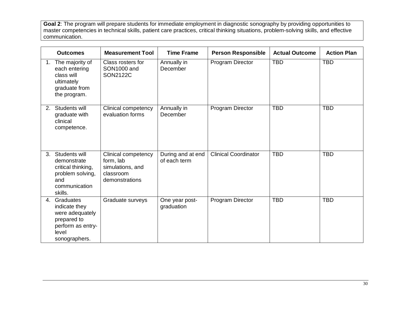**Goal 2**: The program will prepare students for immediate employment in diagnostic sonography by providing opportunities to master competencies in technical skills, patient care practices, critical thinking situations, problem-solving skills, and effective communication.

|                | <b>Outcomes</b>                                                                                                | <b>Measurement Tool</b>                                                             | <b>Time Frame</b>                 | <b>Person Responsible</b>   | <b>Actual Outcome</b> | <b>Action Plan</b> |
|----------------|----------------------------------------------------------------------------------------------------------------|-------------------------------------------------------------------------------------|-----------------------------------|-----------------------------|-----------------------|--------------------|
|                | 1. The majority of<br>each entering<br>class will<br>ultimately<br>graduate from<br>the program.               | Class rosters for<br>SON1000 and<br><b>SON2122C</b>                                 | Annually in<br>December           | Program Director            | <b>TBD</b>            | <b>TBD</b>         |
| 2 <sub>1</sub> | Students will<br>graduate with<br>clinical<br>competence.                                                      | Clinical competency<br>evaluation forms                                             | Annually in<br>December           | Program Director            | <b>TBD</b>            | <b>TBD</b>         |
|                | 3. Students will<br>demonstrate<br>critical thinking,<br>problem solving,<br>and<br>communication<br>skills.   | Clinical competency<br>form, lab<br>simulations, and<br>classroom<br>demonstrations | During and at end<br>of each term | <b>Clinical Coordinator</b> | <b>TBD</b>            | <b>TBD</b>         |
|                | 4. Graduates<br>indicate they<br>were adequately<br>prepared to<br>perform as entry-<br>level<br>sonographers. | Graduate surveys                                                                    | One year post-<br>graduation      | Program Director            | <b>TBD</b>            | <b>TBD</b>         |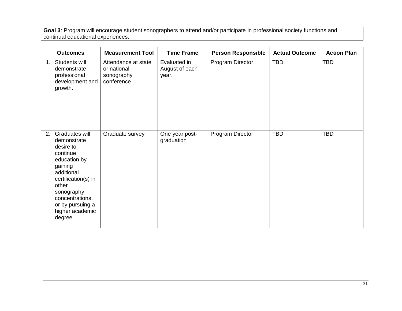**Goal 3**: Program will encourage student sonographers to attend and/or participate in professional society functions and continual educational experiences.

|    | <b>Outcomes</b>                                                                                                                                                                                                    | <b>Measurement Tool</b>                                        | <b>Time Frame</b>                       | <b>Person Responsible</b> | <b>Actual Outcome</b> | <b>Action Plan</b> |
|----|--------------------------------------------------------------------------------------------------------------------------------------------------------------------------------------------------------------------|----------------------------------------------------------------|-----------------------------------------|---------------------------|-----------------------|--------------------|
| 1. | Students will<br>demonstrate<br>professional<br>development and<br>growth.                                                                                                                                         | Attendance at state<br>or national<br>sonography<br>conference | Evaluated in<br>August of each<br>year. | Program Director          | <b>TBD</b>            | <b>TBD</b>         |
| 2. | Graduates will<br>demonstrate<br>desire to<br>continue<br>education by<br>gaining<br>additional<br>certification(s) in<br>other<br>sonography<br>concentrations,<br>or by pursuing a<br>higher academic<br>degree. | Graduate survey                                                | One year post-<br>graduation            | Program Director          | <b>TBD</b>            | <b>TBD</b>         |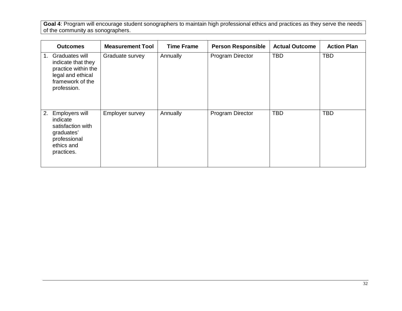**Goal 4**: Program will encourage student sonographers to maintain high professional ethics and practices as they serve the needs of the community as sonographers.

| <b>Outcomes</b>                                                                                                                    | <b>Measurement Tool</b> | <b>Time Frame</b> | <b>Person Responsible</b> | <b>Actual Outcome</b> | <b>Action Plan</b> |
|------------------------------------------------------------------------------------------------------------------------------------|-------------------------|-------------------|---------------------------|-----------------------|--------------------|
| Graduates will<br>$1_{\cdot}$<br>indicate that they<br>practice within the<br>legal and ethical<br>framework of the<br>profession. | Graduate survey         | Annually          | Program Director          | <b>TBD</b>            | <b>TBD</b>         |
| Employers will<br>2.<br>indicate<br>satisfaction with<br>graduates'<br>professional<br>ethics and<br>practices.                    | Employer survey         | Annually          | Program Director          | <b>TBD</b>            | <b>TBD</b>         |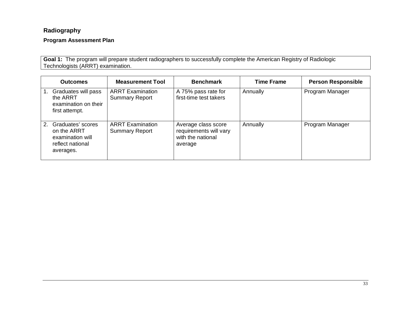### **Radiography**

### **Program Assessment Plan**

**Goal 1:** The program will prepare student radiographers to successfully complete the American Registry of Radiologic Technologists (ARRT) examination.

| <b>Outcomes</b>                                                                                         | <b>Measurement Tool</b>                          | <b>Benchmark</b>                                                              | <b>Time Frame</b> | <b>Person Responsible</b> |
|---------------------------------------------------------------------------------------------------------|--------------------------------------------------|-------------------------------------------------------------------------------|-------------------|---------------------------|
| Graduates will pass<br>the ARRT<br>examination on their<br>first attempt.                               | <b>ARRT Examination</b><br><b>Summary Report</b> | A 75% pass rate for<br>first-time test takers                                 | Annually          | Program Manager           |
| Graduates' scores<br>2 <sup>1</sup><br>on the ARRT<br>examination will<br>reflect national<br>averages. | <b>ARRT Examination</b><br><b>Summary Report</b> | Average class score<br>requirements will vary<br>with the national<br>average | Annually          | Program Manager           |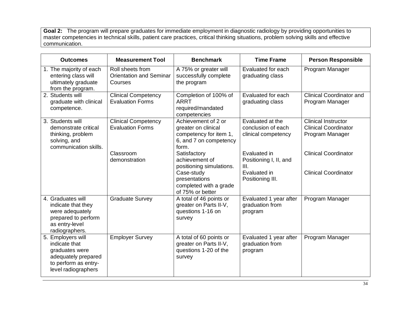**Goal 2:** The program will prepare graduates for immediate employment in diagnostic radiology by providing opportunities to master competencies in technical skills, patient care practices, critical thinking situations, problem solving skills and effective communication.

| <b>Outcomes</b>                                                                                                            | <b>Measurement Tool</b>                                       | <b>Benchmark</b>                                                                                        | <b>Time Frame</b>                                             | <b>Person Responsible</b>                                                    |
|----------------------------------------------------------------------------------------------------------------------------|---------------------------------------------------------------|---------------------------------------------------------------------------------------------------------|---------------------------------------------------------------|------------------------------------------------------------------------------|
| 1. The majority of each<br>entering class will<br>ultimately graduate<br>from the program.                                 | Roll sheets from<br><b>Orientation and Seminar</b><br>Courses | A 75% or greater will<br>successfully complete<br>the program                                           | Evaluated for each<br>graduating class                        | Program Manager                                                              |
| 2. Students will<br>graduate with clinical<br>competence.                                                                  | <b>Clinical Competency</b><br><b>Evaluation Forms</b>         | Completion of 100% of<br><b>ARRT</b><br>required/mandated<br>competencies                               | Evaluated for each<br>graduating class                        | <b>Clinical Coordinator and</b><br>Program Manager                           |
| 3. Students will<br>demonstrate critical<br>thinking, problem<br>solving, and<br>communication skills.                     | <b>Clinical Competency</b><br><b>Evaluation Forms</b>         | Achievement of 2 or<br>greater on clinical<br>competency for item 1,<br>6, and 7 on competency<br>form. | Evaluated at the<br>conclusion of each<br>clinical competency | <b>Clinical Instructor</b><br><b>Clinical Coordinator</b><br>Program Manager |
|                                                                                                                            | Classroom<br>demonstration                                    | Satisfactory<br>achievement of<br>positioning simulations.                                              | Evaluated in<br>Positioning I, II, and<br>III.                | <b>Clinical Coordinator</b>                                                  |
|                                                                                                                            |                                                               | Case-study<br>presentations<br>completed with a grade<br>of 75% or better                               | Evaluated in<br>Positioning III.                              | <b>Clinical Coordinator</b>                                                  |
| 4. Graduates will<br>indicate that they<br>were adequately<br>prepared to perform<br>as entry-level<br>radiographers.      | <b>Graduate Survey</b>                                        | A total of 46 points or<br>greater on Parts II-V,<br>questions 1-16 on<br>survey                        | Evaluated 1 year after<br>graduation from<br>program          | Program Manager                                                              |
| 5. Employers will<br>indicate that<br>graduates were<br>adequately prepared<br>to perform as entry-<br>level radiographers | <b>Employer Survey</b>                                        | A total of 60 points or<br>greater on Parts II-V,<br>questions 1-20 of the<br>survey                    | Evaluated 1 year after<br>graduation from<br>program          | Program Manager                                                              |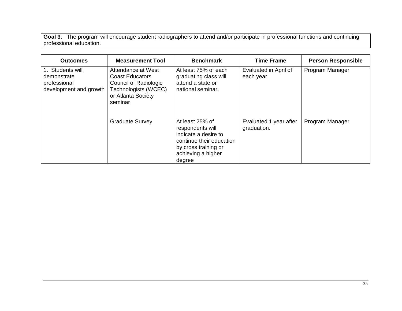**Goal 3**: The program will encourage student radiographers to attend and/or participate in professional functions and continuing professional education.

| <b>Outcomes</b>                                                           | <b>Measurement Tool</b>                                                                                                        | <b>Benchmark</b>                                                                                                                                | <b>Time Frame</b>                     | <b>Person Responsible</b> |
|---------------------------------------------------------------------------|--------------------------------------------------------------------------------------------------------------------------------|-------------------------------------------------------------------------------------------------------------------------------------------------|---------------------------------------|---------------------------|
| 1. Students will<br>demonstrate<br>professional<br>development and growth | Attendance at West<br><b>Coast Educators</b><br>Council of Radiologic<br>Technologists (WCEC)<br>or Atlanta Society<br>seminar | At least 75% of each<br>graduating class will<br>attend a state or<br>national seminar.                                                         | Evaluated in April of<br>each year    | Program Manager           |
|                                                                           | <b>Graduate Survey</b>                                                                                                         | At least 25% of<br>respondents will<br>indicate a desire to<br>continue their education<br>by cross training or<br>achieving a higher<br>degree | Evaluated 1 year after<br>graduation. | Program Manager           |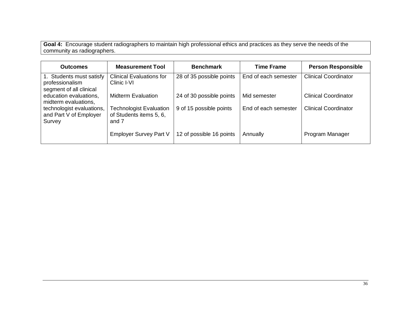**Goal 4:** Encourage student radiographers to maintain high professional ethics and practices as they serve the needs of the community as radiographers.

| <b>Outcomes</b>                                                        | <b>Measurement Tool</b>                                            | <b>Benchmark</b>         | <b>Time Frame</b>    | <b>Person Responsible</b>   |
|------------------------------------------------------------------------|--------------------------------------------------------------------|--------------------------|----------------------|-----------------------------|
| 1. Students must satisfy<br>professionalism<br>segment of all clinical | <b>Clinical Evaluations for</b><br>Clinic I-VI                     | 28 of 35 possible points | End of each semester | <b>Clinical Coordinator</b> |
| education evaluations,<br>midterm evaluations,                         | <b>Midterm Evaluation</b>                                          | 24 of 30 possible points | Mid semester         | <b>Clinical Coordinator</b> |
| technologist evaluations,<br>and Part V of Employer<br>Survey          | <b>Technologist Evaluation</b><br>of Students items 5, 6,<br>and 7 | 9 of 15 possible points  | End of each semester | <b>Clinical Coordinator</b> |
|                                                                        | Employer Survey Part V                                             | 12 of possible 16 points | Annually             | Program Manager             |